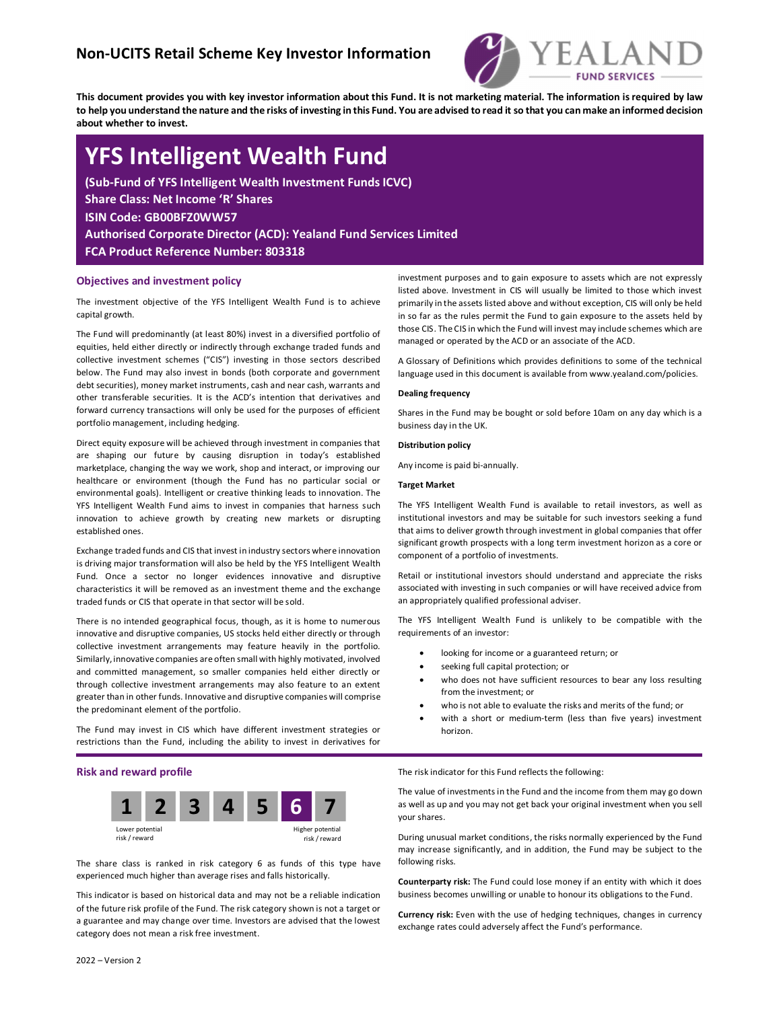# Non-UCITS Retail Scheme Key Investor Information



This document provides you with key investor information about this Fund. It is not marketing material. The information is required by law to help you understand the nature and the risks of investing in this Fund. You are advised to read it so that you can make an informed decision about whether to invest.

# YFS Intelligent Wealth Fund

(Sub-Fund of YFS Intelligent Wealth Investment Funds ICVC) Share Class: Net Income 'R' Shares ISIN Code: GB00BFZ0WW57 Authorised Corporate Director (ACD): Yealand Fund Services Limited FCA Product Reference Number: 803318

## Objectives and investment policy

The investment objective of the YFS Intelligent Wealth Fund is to achieve capital growth.

The Fund will predominantly (at least 80%) invest in a diversified portfolio of equities, held either directly or indirectly through exchange traded funds and collective investment schemes ("CIS") investing in those sectors described below. The Fund may also invest in bonds (both corporate and government debt securities), money market instruments, cash and near cash, warrants and other transferable securities. It is the ACD's intention that derivatives and forward currency transactions will only be used for the purposes of efficient portfolio management, including hedging.

Direct equity exposure will be achieved through investment in companies that are shaping our future by causing disruption in today's established marketplace, changing the way we work, shop and interact, or improving our healthcare or environment (though the Fund has no particular social or environmental goals). Intelligent or creative thinking leads to innovation. The YFS Intelligent Wealth Fund aims to invest in companies that harness such innovation to achieve growth by creating new markets or disrupting established ones.

Exchange traded funds and CIS that invest in industry sectors where innovation is driving major transformation will also be held by the YFS Intelligent Wealth Fund. Once a sector no longer evidences innovative and disruptive characteristics it will be removed as an investment theme and the exchange traded funds or CIS that operate in that sector will be sold.

There is no intended geographical focus, though, as it is home to numerous innovative and disruptive companies, US stocks held either directly or through collective investment arrangements may feature heavily in the portfolio. Similarly, innovative companies are often small with highly motivated, involved and committed management, so smaller companies held either directly or through collective investment arrangements may also feature to an extent greater than in other funds. Innovative and disruptive companies will comprise the predominant element of the portfolio.

The Fund may invest in CIS which have different investment strategies or restrictions than the Fund, including the ability to invest in derivatives for

### Risk and reward profile



The share class is ranked in risk category 6 as funds of this type have experienced much higher than average rises and falls historically.

This indicator is based on historical data and may not be a reliable indication of the future risk profile of the Fund. The risk category shown is not a target or a guarantee and may change over time. Investors are advised that the lowest category does not mean a risk free investment.

investment purposes and to gain exposure to assets which are not expressly listed above. Investment in CIS will usually be limited to those which invest primarily in the assets listed above and without exception, CIS will only be held in so far as the rules permit the Fund to gain exposure to the assets held by those CIS. The CIS in which the Fund will invest may include schemes which are managed or operated by the ACD or an associate of the ACD.

A Glossary of Definitions which provides definitions to some of the technical language used in this document is available from www.yealand.com/policies.

### Dealing frequency

Shares in the Fund may be bought or sold before 10am on any day which is a business day in the UK.

#### Distribution policy

Any income is paid bi-annually.

### Target Market

The YFS Intelligent Wealth Fund is available to retail investors, as well as institutional investors and may be suitable for such investors seeking a fund that aims to deliver growth through investment in global companies that offer significant growth prospects with a long term investment horizon as a core or component of a portfolio of investments.

Retail or institutional investors should understand and appreciate the risks associated with investing in such companies or will have received advice from an appropriately qualified professional adviser.

The YFS Intelligent Wealth Fund is unlikely to be compatible with the requirements of an investor:

- looking for income or a guaranteed return; or
- seeking full capital protection; or
- who does not have sufficient resources to bear any loss resulting from the investment; or
- who is not able to evaluate the risks and merits of the fund; or
- with a short or medium-term (less than five years) investment horizon.

The risk indicator for this Fund reflects the following:

The value of investments in the Fund and the income from them may go down as well as up and you may not get back your original investment when you sell your shares.

During unusual market conditions, the risks normally experienced by the Fund may increase significantly, and in addition, the Fund may be subject to the following risks.

Counterparty risk: The Fund could lose money if an entity with which it does business becomes unwilling or unable to honour its obligations to the Fund.

Currency risk: Even with the use of hedging techniques, changes in currency exchange rates could adversely affect the Fund's performance.